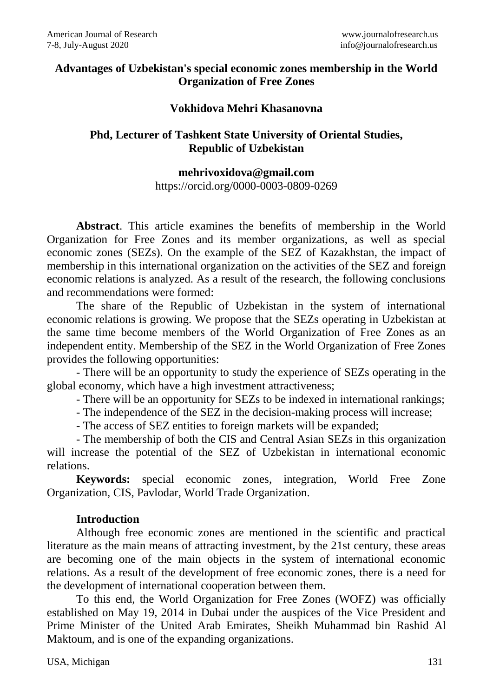## **Advantages of Uzbekistan's special economic zones membership in the World Organization of Free Zones**

### **Vokhidova Mehri Khasanovna**

# **Phd, Lecturer of Tashkent State University of Oriental Studies, Republic of Uzbekistan**

#### **[mehrivoxidova@gmail.com](mailto:mehrivoxidova@gmail.com)**

<https://orcid.org/0000-0003-0809-0269>

**Abstract**. This article examines the benefits of membership in the World Organization for Free Zones and its member organizations, as well as special economic zones (SEZs). On the example of the SEZ of Kazakhstan, the impact of membership in this international organization on the activities of the SEZ and foreign economic relations is analyzed. As a result of the research, the following conclusions and recommendations were formed:

The share of the Republic of Uzbekistan in the system of international economic relations is growing. We propose that the SEZs operating in Uzbekistan at the same time become members of the World Organization of Free Zones as an independent entity. Membership of the SEZ in the World Organization of Free Zones provides the following opportunities:

- There will be an opportunity to study the experience of SEZs operating in the global economy, which have a high investment attractiveness;

- There will be an opportunity for SEZs to be indexed in international rankings;

- The independence of the SEZ in the decision-making process will increase;

- The access of SEZ entities to foreign markets will be expanded;

- The membership of both the CIS and Central Asian SEZs in this organization will increase the potential of the SEZ of Uzbekistan in international economic relations.

**Keywords:** special economic zones, integration, World Free Zone Organization, CIS, Pavlodar, World Trade Organization.

# **Introduction**

Although free economic zones are mentioned in the scientific and practical literature as the main means of attracting investment, by the 21st century, these areas are becoming one of the main objects in the system of international economic relations. As a result of the development of free economic zones, there is a need for the development of international cooperation between them.

To this end, the World Organization for Free Zones (WOFZ) was officially established on May 19, 2014 in Dubai under the auspices of the Vice President and Prime Minister of the United Arab Emirates, Sheikh Muhammad bin Rashid Al Maktoum, and is one of the expanding organizations.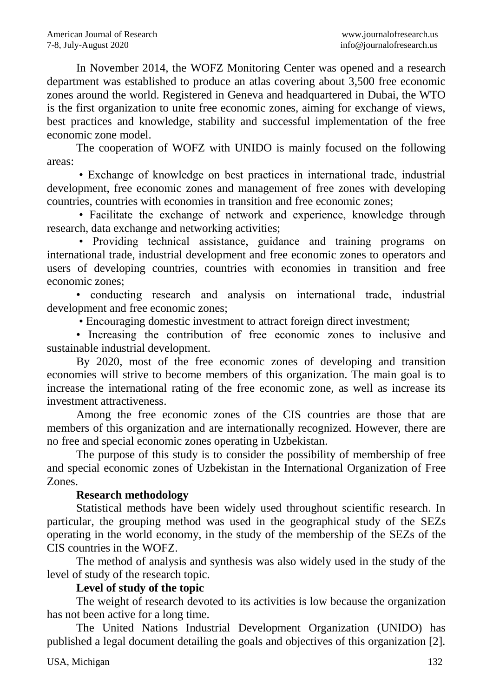In November 2014, the WOFZ Monitoring Center was opened and a research department was established to produce an atlas covering about 3,500 free economic zones around the world. Registered in Geneva and headquartered in Dubai, the WTO is the first organization to unite free economic zones, aiming for exchange of views, best practices and knowledge, stability and successful implementation of the free economic zone model.

The cooperation of WOFZ with UNIDO is mainly focused on the following areas:

• Exchange of knowledge on best practices in international trade, industrial development, free economic zones and management of free zones with developing countries, countries with economies in transition and free economic zones;

• Facilitate the exchange of network and experience, knowledge through research, data exchange and networking activities;

• Providing technical assistance, guidance and training programs on international trade, industrial development and free economic zones to operators and users of developing countries, countries with economies in transition and free economic zones;

• conducting research and analysis on international trade, industrial development and free economic zones;

• Encouraging domestic investment to attract foreign direct investment;

• Increasing the contribution of free economic zones to inclusive and sustainable industrial development.

By 2020, most of the free economic zones of developing and transition economies will strive to become members of this organization. The main goal is to increase the international rating of the free economic zone, as well as increase its investment attractiveness.

Among the free economic zones of the CIS countries are those that are members of this organization and are internationally recognized. However, there are no free and special economic zones operating in Uzbekistan.

The purpose of this study is to consider the possibility of membership of free and special economic zones of Uzbekistan in the International Organization of Free Zones.

# **Research methodology**

Statistical methods have been widely used throughout scientific research. In particular, the grouping method was used in the geographical study of the SEZs operating in the world economy, in the study of the membership of the SEZs of the CIS countries in the WOFZ.

The method of analysis and synthesis was also widely used in the study of the level of study of the research topic.

# **Level of study of the topic**

The weight of research devoted to its activities is low because the organization has not been active for a long time.

The United Nations Industrial Development Organization (UNIDO) has published a legal document detailing the goals and objectives of this organization [2].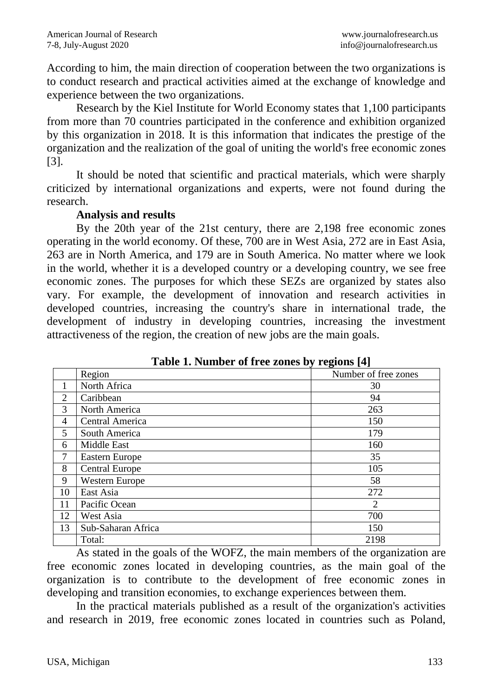According to him, the main direction of cooperation between the two organizations is to conduct research and practical activities aimed at the exchange of knowledge and experience between the two organizations.

Research by the Kiel Institute for World Economy states that 1,100 participants from more than 70 countries participated in the conference and exhibition organized by this organization in 2018. It is this information that indicates the prestige of the organization and the realization of the goal of uniting the world's free economic zones [3].

It should be noted that scientific and practical materials, which were sharply criticized by international organizations and experts, were not found during the research.

#### **Analysis and results**

By the 20th year of the 21st century, there are 2,198 free economic zones operating in the world economy. Of these, 700 are in West Asia, 272 are in East Asia, 263 are in North America, and 179 are in South America. No matter where we look in the world, whether it is a developed country or a developing country, we see free economic zones. The purposes for which these SEZs are organized by states also vary. For example, the development of innovation and research activities in developed countries, increasing the country's share in international trade, the development of industry in developing countries, increasing the investment attractiveness of the region, the creation of new jobs are the main goals.

|    | <b>LADIC 1. NUMBER OF LICE ZONES DY LEGIONS [4]</b> |                      |  |  |
|----|-----------------------------------------------------|----------------------|--|--|
|    | Region                                              | Number of free zones |  |  |
|    | North Africa                                        | 30                   |  |  |
| 2  | Caribbean                                           | 94                   |  |  |
| 3  | North America                                       | 263                  |  |  |
| 4  | Central America                                     | 150                  |  |  |
| 5  | South America                                       | 179                  |  |  |
| 6  | Middle East                                         | 160                  |  |  |
| 7  | Eastern Europe                                      | 35                   |  |  |
| 8  | <b>Central Europe</b>                               | 105                  |  |  |
| 9  | Western Europe                                      | 58                   |  |  |
| 10 | East Asia                                           | 272                  |  |  |
| 11 | Pacific Ocean                                       | 2                    |  |  |
| 12 | West Asia                                           | 700                  |  |  |
| 13 | Sub-Saharan Africa                                  | 150                  |  |  |
|    | Total:                                              | 2198                 |  |  |

| Table 1. Number of free zones by regions [4] |
|----------------------------------------------|
|----------------------------------------------|

As stated in the goals of the WOFZ, the main members of the organization are free economic zones located in developing countries, as the main goal of the organization is to contribute to the development of free economic zones in developing and transition economies, to exchange experiences between them.

In the practical materials published as a result of the organization's activities and research in 2019, free economic zones located in countries such as Poland,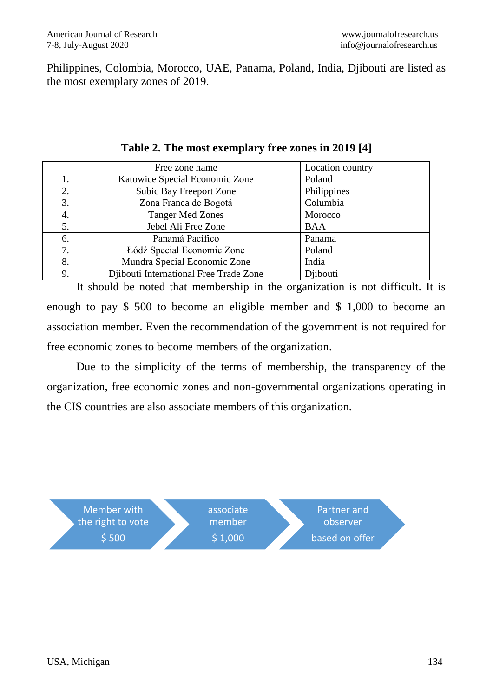Philippines, Colombia, Morocco, UAE, Panama, Poland, India, Djibouti are listed as the most exemplary zones of 2019.

|    | Free zone name                         | Location country |
|----|----------------------------------------|------------------|
|    | Katowice Special Economic Zone         | Poland           |
| 2. | Subic Bay Freeport Zone                | Philippines      |
| 3. | Zona Franca de Bogotá                  | Columbia         |
| 4. | <b>Tanger Med Zones</b>                | Morocco          |
| 5. | Jebel Ali Free Zone                    | <b>BAA</b>       |
| 6. | Panamá Pacífico                        | Panama           |
| 7  | Łódź Special Economic Zone             | Poland           |
| 8. | Mundra Special Economic Zone           | India            |
| 9. | Djibouti International Free Trade Zone | Djibouti         |
|    |                                        |                  |

**Table 2. The most exemplary free zones in 2019 [4]**

It should be noted that membership in the organization is not difficult. It is enough to pay \$ 500 to become an eligible member and \$ 1,000 to become an association member. Even the recommendation of the government is not required for free economic zones to become members of the organization.

Due to the simplicity of the terms of membership, the transparency of the organization, free economic zones and non-governmental organizations operating in the CIS countries are also associate members of this organization.

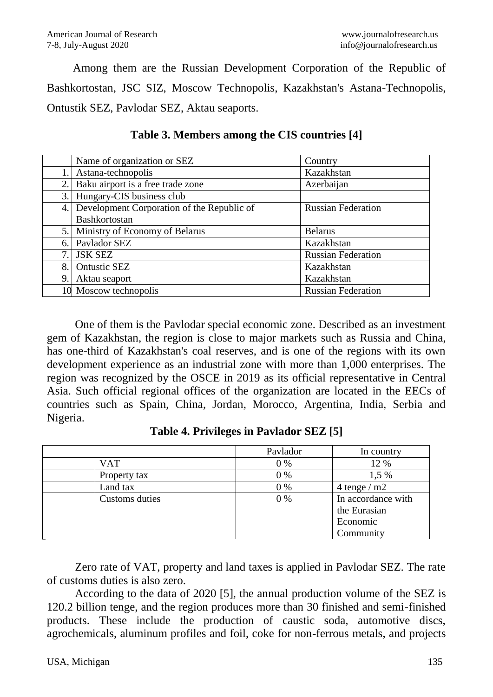Among them are the Russian Development Corporation of the Republic of Bashkortostan, JSC SIZ, Moscow Technopolis, Kazakhstan's Astana-Technopolis, Ontustik SEZ, Pavlodar SEZ, Aktau seaports.

|    | Name of organization or SEZ                | Country                   |
|----|--------------------------------------------|---------------------------|
| 1. | Astana-technopolis                         | Kazakhstan                |
| 2. | Baku airport is a free trade zone          | Azerbaijan                |
| 3. | Hungary-CIS business club                  |                           |
| 4. | Development Corporation of the Republic of | <b>Russian Federation</b> |
|    | <b>Bashkortostan</b>                       |                           |
| 5. | Ministry of Economy of Belarus             | <b>Belarus</b>            |
| 6. | Pavlador SEZ                               | Kazakhstan                |
| 7. | <b>JSK SEZ</b>                             | <b>Russian Federation</b> |
| 8. | Ontustic SEZ                               | Kazakhstan                |
| 9. | Aktau seaport                              | Kazakhstan                |
|    | 10 Moscow technopolis                      | <b>Russian Federation</b> |

**Table 3. Members among the CIS countries [4]**

One of them is the Pavlodar special economic zone. Described as an investment gem of Kazakhstan, the region is close to major markets such as Russia and China, has one-third of Kazakhstan's coal reserves, and is one of the regions with its own development experience as an industrial zone with more than 1,000 enterprises. The region was recognized by the OSCE in 2019 as its official representative in Central Asia. Such official regional offices of the organization are located in the EECs of countries such as Spain, China, Jordan, Morocco, Argentina, India, Serbia and Nigeria.

|                       | Pavlador | In country                                                  |
|-----------------------|----------|-------------------------------------------------------------|
| <b>VAT</b>            | 0%       | 12 %                                                        |
| Property tax          | 0%       | 1,5 %                                                       |
| Land tax              | 0%       | 4 tenge $/m2$                                               |
| <b>Customs</b> duties | 0%       | In accordance with<br>the Eurasian<br>Economic<br>Community |

**Table 4. Privileges in Pavlador SEZ [5]**

Zero rate of VAT, property and land taxes is applied in Pavlodar SEZ. The rate of customs duties is also zero.

According to the data of 2020 [5], the annual production volume of the SEZ is 120.2 billion tenge, and the region produces more than 30 finished and semi-finished products. These include the production of caustic soda, automotive discs, agrochemicals, aluminum profiles and foil, coke for non-ferrous metals, and projects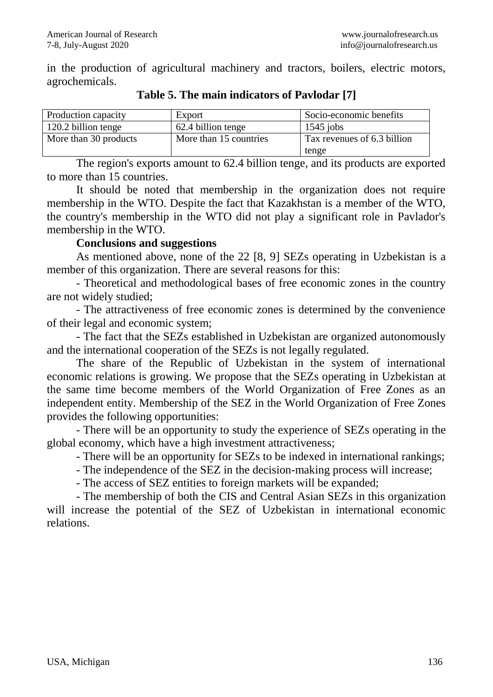in the production of agricultural machinery and tractors, boilers, electric motors, agrochemicals.

| Production capacity   | Export                 | Socio-economic benefits     |
|-----------------------|------------------------|-----------------------------|
| 120.2 billion tenge   | 62.4 billion tenge     | $1545$ jobs                 |
| More than 30 products | More than 15 countries | Tax revenues of 6.3 billion |
|                       |                        | tenge                       |

**Table 5. The main indicators of Pavlodar [7]**

The region's exports amount to 62.4 billion tenge, and its products are exported to more than 15 countries.

It should be noted that membership in the organization does not require membership in the WTO. Despite the fact that Kazakhstan is a member of the WTO, the country's membership in the WTO did not play a significant role in Pavlador's membership in the WTO.

#### **Conclusions and suggestions**

As mentioned above, none of the 22 [8, 9] SEZs operating in Uzbekistan is a member of this organization. There are several reasons for this:

- Theoretical and methodological bases of free economic zones in the country are not widely studied;

- The attractiveness of free economic zones is determined by the convenience of their legal and economic system;

- The fact that the SEZs established in Uzbekistan are organized autonomously and the international cooperation of the SEZs is not legally regulated.

The share of the Republic of Uzbekistan in the system of international economic relations is growing. We propose that the SEZs operating in Uzbekistan at the same time become members of the World Organization of Free Zones as an independent entity. Membership of the SEZ in the World Organization of Free Zones provides the following opportunities:

- There will be an opportunity to study the experience of SEZs operating in the global economy, which have a high investment attractiveness;

- There will be an opportunity for SEZs to be indexed in international rankings;

- The independence of the SEZ in the decision-making process will increase;

- The access of SEZ entities to foreign markets will be expanded;

- The membership of both the CIS and Central Asian SEZs in this organization will increase the potential of the SEZ of Uzbekistan in international economic relations.